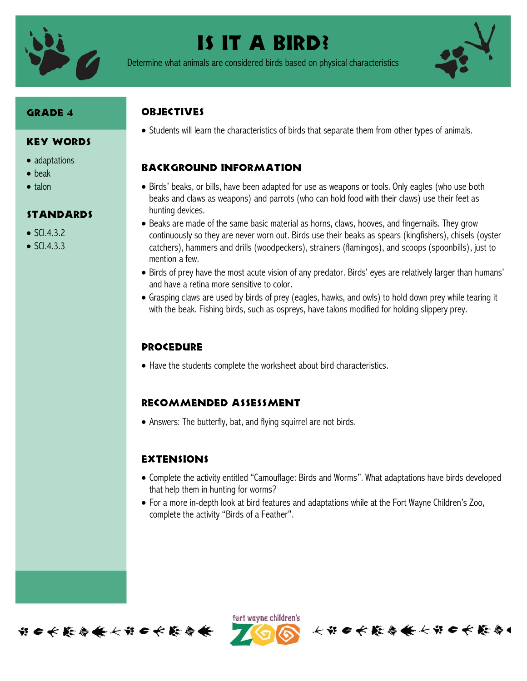

# Is it a bird?

Determine what animals are considered birds based on physical characteristics



### Grade 4

#### Key Words

- adaptations
- beak
- $\bullet$  talon

#### Standards

- $\bullet$  SCI.4.3.2
- $\bullet$  SCI.4.3.3

## **ORJECTIVES**

• Students will learn the characteristics of birds that separate them from other types of animals.

# Background information

- Birds' beaks, or bills, have been adapted for use as weapons or tools. Only eagles (who use both beaks and claws as weapons) and parrots (who can hold food with their claws) use their feet as hunting devices.
- Beaks are made of the same basic material as horns, claws, hooves, and fingernails. They grow continuously so they are never worn out. Birds use their beaks as spears (kingfishers), chisels (oyster catchers), hammers and drills (woodpeckers), strainers (flamingos), and scoops (spoonbills), just to mention a few.
- Birds of prey have the most acute vision of any predator. Birds' eyes are relatively larger than humans' and have a retina more sensitive to color.
- Grasping claws are used by birds of prey (eagles, hawks, and owls) to hold down prey while tearing it with the beak. Fishing birds, such as ospreys, have talons modified for holding slippery prey.

### **PROCEDURE**

Have the students complete the worksheet about bird characteristics.

#### Recommended assessment

Answers: The butterfly, bat, and flying squirrel are not birds.

#### **EXTENSIONS**

- Complete the activity entitled "Camouflage: Birds and Worms". What adaptations have birds developed that help them in hunting for worms?
- For a more in-depth look at bird features and adaptations while at the Fort Wayne Children's Zoo, complete the activity "Birds of a Feather".



ført wayne children's

长节6长能与长长节6长能与1